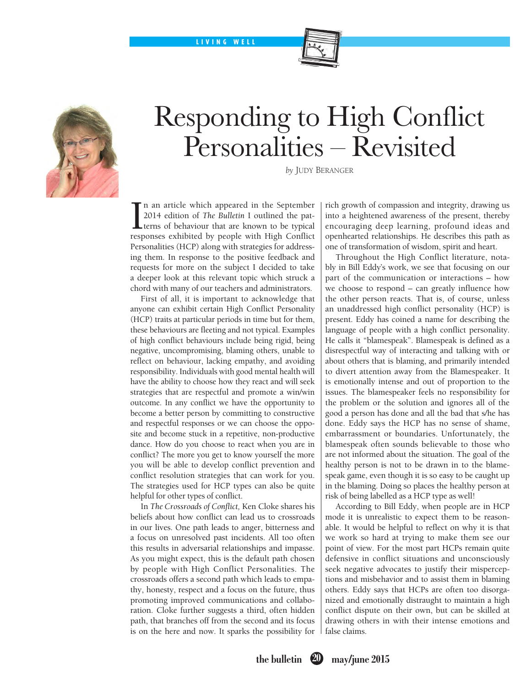LIVING WELL



## Responding to High Conflict Personalities – Revisited

*by* Judy Beranger

 $\prod_{\text{resr}}$ n an article which appeared in the September 2014 edition of *The Bulletin* I outlined the patterns of behaviour that are known to be typical responses exhibited by people with High Conflict Personalities (HCP) along with strategies for addressing them. In response to the positive feedback and requests for more on the subject I decided to take a deeper look at this relevant topic which struck a chord with many of our teachers and administrators.

First of all, it is important to acknowledge that anyone can exhibit certain High Conflict Personality (HCP) traits at particular periods in time but for them, these behaviours are fleeting and not typical. Examples of high conflict behaviours include being rigid, being negative, uncompromising, blaming others, unable to reflect on behaviour, lacking empathy, and avoiding responsibility. Individuals with good mental health will have the ability to choose how they react and will seek strategies that are respectful and promote a win/win outcome. In any conflict we have the opportunity to become a better person by committing to constructive and respectful responses or we can choose the opposite and become stuck in a repetitive, non-productive dance. How do you choose to react when you are in conflict? The more you get to know yourself the more you will be able to develop conflict prevention and conflict resolution strategies that can work for you. The strategies used for HCP types can also be quite helpful for other types of conflict.

In *The Crossroads of Conflict,* Ken Cloke shares his beliefs about how conflict can lead us to crossroads in our lives. One path leads to anger, bitterness and a focus on unresolved past incidents. All too often this results in adversarial relationships and impasse. As you might expect, this is the default path chosen by people with High Conflict Personalities. The crossroads offers a second path which leads to empathy, honesty, respect and a focus on the future, thus promoting improved communications and collaboration. Cloke further suggests a third, often hidden path, that branches off from the second and its focus is on the here and now. It sparks the possibility for rich growth of compassion and integrity, drawing us into a heightened awareness of the present, thereby encouraging deep learning, profound ideas and openhearted relationships. He describes this path as one of transformation of wisdom, spirit and heart.

Throughout the High Conflict literature, notably in Bill Eddy's work, we see that focusing on our part of the communication or interactions – how we choose to respond – can greatly influence how the other person reacts. That is, of course, unless an unaddressed high conflict personality (HCP) is present. Eddy has coined a name for describing the language of people with a high conflict personality. He calls it "blamespeak". Blamespeak is defined as a disrespectful way of interacting and talking with or about others that is blaming, and primarily intended to divert attention away from the Blamespeaker. It is emotionally intense and out of proportion to the issues. The blamespeaker feels no responsibility for the problem or the solution and ignores all of the good a person has done and all the bad that s/he has done. Eddy says the HCP has no sense of shame, embarrassment or boundaries. Unfortunately, the blamespeak often sounds believable to those who are not informed about the situation. The goal of the healthy person is not to be drawn in to the blamespeak game, even though it is so easy to be caught up in the blaming. Doing so places the healthy person at risk of being labelled as a HCP type as well!

According to Bill Eddy, when people are in HCP mode it is unrealistic to expect them to be reasonable. It would be helpful to reflect on why it is that we work so hard at trying to make them see our point of view. For the most part HCPs remain quite defensive in conflict situations and unconsciously seek negative advocates to justify their misperceptions and misbehavior and to assist them in blaming others. Eddy says that HCPs are often too disorganized and emotionally distraught to maintain a high conflict dispute on their own, but can be skilled at drawing others in with their intense emotions and false claims.